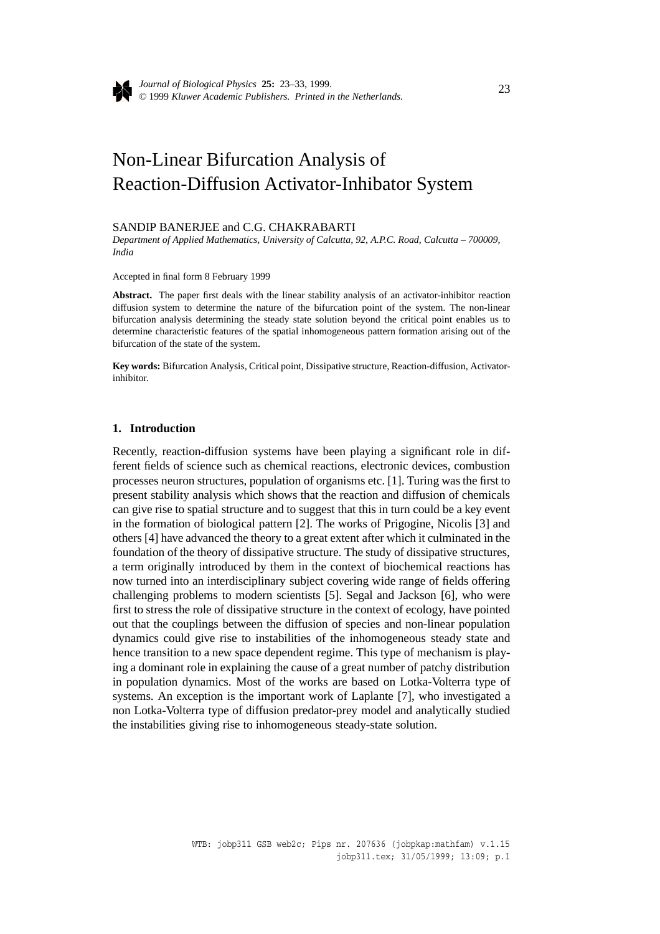

*Journal of Biological Physics* **25:** 23–33, 1999. © 1999 *Kluwer Academic Publishers. Printed in the Netherlands.* <sup>23</sup>

# Non-Linear Bifurcation Analysis of Reaction-Diffusion Activator-Inhibator System

### SANDIP BANERJEE and C.G. CHAKRABARTI

*Department of Applied Mathematics, University of Calcutta, 92, A.P.C. Road, Calcutta – 700009, India*

Accepted in final form 8 February 1999

**Abstract.** The paper first deals with the linear stability analysis of an activator-inhibitor reaction diffusion system to determine the nature of the bifurcation point of the system. The non-linear bifurcation analysis determining the steady state solution beyond the critical point enables us to determine characteristic features of the spatial inhomogeneous pattern formation arising out of the bifurcation of the state of the system.

**Key words:** Bifurcation Analysis, Critical point, Dissipative structure, Reaction-diffusion, Activatorinhibitor.

### **1. Introduction**

Recently, reaction-diffusion systems have been playing a significant role in different fields of science such as chemical reactions, electronic devices, combustion processes neuron structures, population of organisms etc. [1]. Turing was the first to present stability analysis which shows that the reaction and diffusion of chemicals can give rise to spatial structure and to suggest that this in turn could be a key event in the formation of biological pattern [2]. The works of Prigogine, Nicolis [3] and others [4] have advanced the theory to a great extent after which it culminated in the foundation of the theory of dissipative structure. The study of dissipative structures, a term originally introduced by them in the context of biochemical reactions has now turned into an interdisciplinary subject covering wide range of fields offering challenging problems to modern scientists [5]. Segal and Jackson [6], who were first to stress the role of dissipative structure in the context of ecology, have pointed out that the couplings between the diffusion of species and non-linear population dynamics could give rise to instabilities of the inhomogeneous steady state and hence transition to a new space dependent regime. This type of mechanism is playing a dominant role in explaining the cause of a great number of patchy distribution in population dynamics. Most of the works are based on Lotka-Volterra type of systems. An exception is the important work of Laplante [7], who investigated a non Lotka-Volterra type of diffusion predator-prey model and analytically studied the instabilities giving rise to inhomogeneous steady-state solution.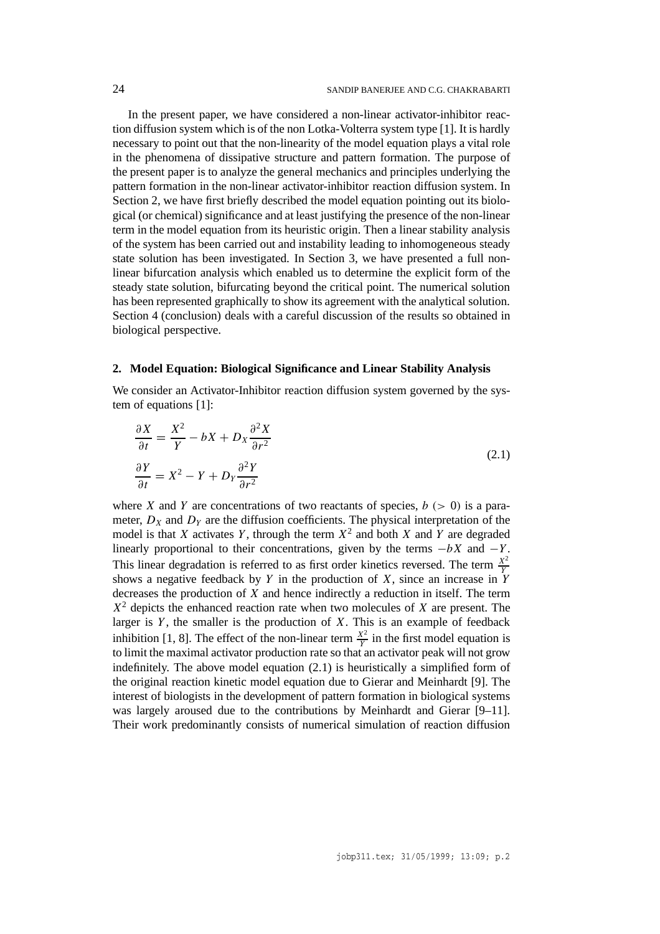In the present paper, we have considered a non-linear activator-inhibitor reaction diffusion system which is of the non Lotka-Volterra system type [1]. It is hardly necessary to point out that the non-linearity of the model equation plays a vital role in the phenomena of dissipative structure and pattern formation. The purpose of the present paper is to analyze the general mechanics and principles underlying the pattern formation in the non-linear activator-inhibitor reaction diffusion system. In Section 2, we have first briefly described the model equation pointing out its biological (or chemical) significance and at least justifying the presence of the non-linear term in the model equation from its heuristic origin. Then a linear stability analysis of the system has been carried out and instability leading to inhomogeneous steady state solution has been investigated. In Section 3, we have presented a full nonlinear bifurcation analysis which enabled us to determine the explicit form of the steady state solution, bifurcating beyond the critical point. The numerical solution has been represented graphically to show its agreement with the analytical solution. Section 4 (conclusion) deals with a careful discussion of the results so obtained in biological perspective.

## **2. Model Equation: Biological Significance and Linear Stability Analysis**

We consider an Activator-Inhibitor reaction diffusion system governed by the system of equations [1]:

$$
\frac{\partial X}{\partial t} = \frac{X^2}{Y} - bX + D_X \frac{\partial^2 X}{\partial r^2}
$$
\n
$$
\frac{\partial Y}{\partial t} = X^2 - Y + D_Y \frac{\partial^2 Y}{\partial r^2}
$$
\n(2.1)

where *X* and *Y* are concentrations of two reactants of species,  $b (> 0)$  is a parameter,  $D_X$  and  $D_Y$  are the diffusion coefficients. The physical interpretation of the model is that *X* activates *Y*, through the term  $X^2$  and both *X* and *Y* are degraded linearly proportional to their concentrations, given by the terms  $-bX$  and  $-Y$ . This linear degradation is referred to as first order kinetics reversed. The term  $\frac{X^2}{Y}$ shows a negative feedback by *Y* in the production of *X*, since an increase in *Y* decreases the production of *X* and hence indirectly a reduction in itself. The term *X*<sup>2</sup> depicts the enhanced reaction rate when two molecules of *X* are present. The larger is *Y* , the smaller is the production of *X*. This is an example of feedback inhibition [1, 8]. The effect of the non-linear term  $\frac{X^2}{Y}$  in the first model equation is to limit the maximal activator production rate so that an activator peak will not grow indefinitely. The above model equation (2.1) is heuristically a simplified form of the original reaction kinetic model equation due to Gierar and Meinhardt [9]. The interest of biologists in the development of pattern formation in biological systems was largely aroused due to the contributions by Meinhardt and Gierar [9–11]. Their work predominantly consists of numerical simulation of reaction diffusion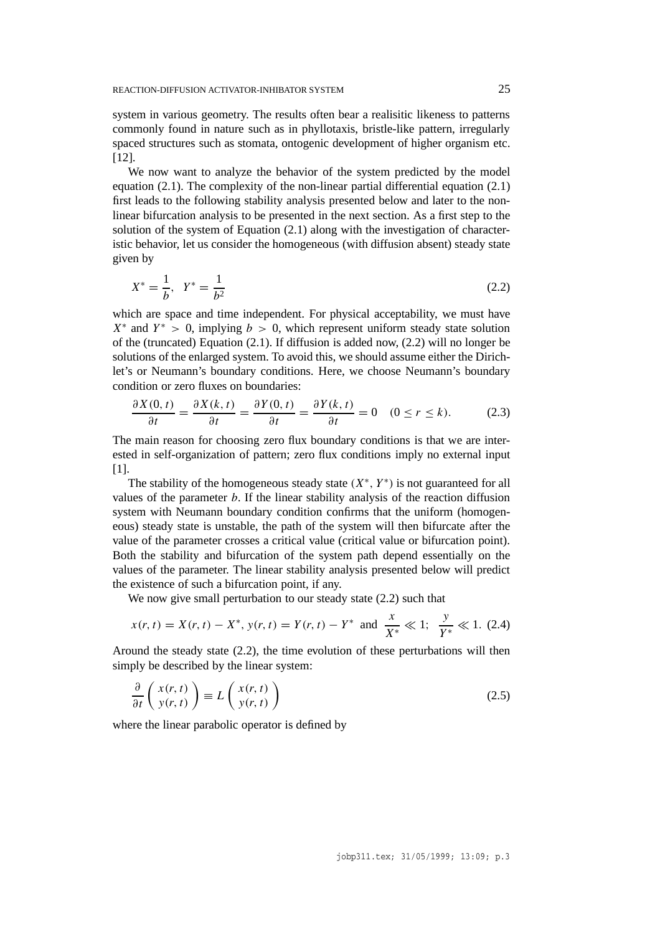system in various geometry. The results often bear a realisitic likeness to patterns commonly found in nature such as in phyllotaxis, bristle-like pattern, irregularly spaced structures such as stomata, ontogenic development of higher organism etc. [12].

We now want to analyze the behavior of the system predicted by the model equation (2.1). The complexity of the non-linear partial differential equation (2.1) first leads to the following stability analysis presented below and later to the nonlinear bifurcation analysis to be presented in the next section. As a first step to the solution of the system of Equation (2.1) along with the investigation of characteristic behavior, let us consider the homogeneous (with diffusion absent) steady state given by

$$
X^* = \frac{1}{b}, \quad Y^* = \frac{1}{b^2} \tag{2.2}
$$

which are space and time independent. For physical acceptability, we must have  $X^*$  and  $Y^* > 0$ , implying  $b > 0$ , which represent uniform steady state solution of the (truncated) Equation (2.1). If diffusion is added now, (2.2) will no longer be solutions of the enlarged system. To avoid this, we should assume either the Dirichlet's or Neumann's boundary conditions. Here, we choose Neumann's boundary condition or zero fluxes on boundaries:

$$
\frac{\partial X(0,t)}{\partial t} = \frac{\partial X(k,t)}{\partial t} = \frac{\partial Y(0,t)}{\partial t} = \frac{\partial Y(k,t)}{\partial t} = 0 \quad (0 \le r \le k). \tag{2.3}
$$

The main reason for choosing zero flux boundary conditions is that we are interested in self-organization of pattern; zero flux conditions imply no external input [1].

The stability of the homogeneous steady state *(X*∗*, Y* <sup>∗</sup>*)* is not guaranteed for all values of the parameter *b*. If the linear stability analysis of the reaction diffusion system with Neumann boundary condition confirms that the uniform (homogeneous) steady state is unstable, the path of the system will then bifurcate after the value of the parameter crosses a critical value (critical value or bifurcation point). Both the stability and bifurcation of the system path depend essentially on the values of the parameter. The linear stability analysis presented below will predict the existence of such a bifurcation point, if any.

We now give small perturbation to our steady state (2.2) such that

$$
x(r, t) = X(r, t) - X^*, y(r, t) = Y(r, t) - Y^*
$$
 and  $\frac{x}{X^*} \ll 1; \frac{y}{Y^*} \ll 1.$  (2.4)

Around the steady state (2.2), the time evolution of these perturbations will then simply be described by the linear system:

$$
\frac{\partial}{\partial t} \left( \begin{array}{c} x(r,t) \\ y(r,t) \end{array} \right) \equiv L \left( \begin{array}{c} x(r,t) \\ y(r,t) \end{array} \right) \tag{2.5}
$$

where the linear parabolic operator is defined by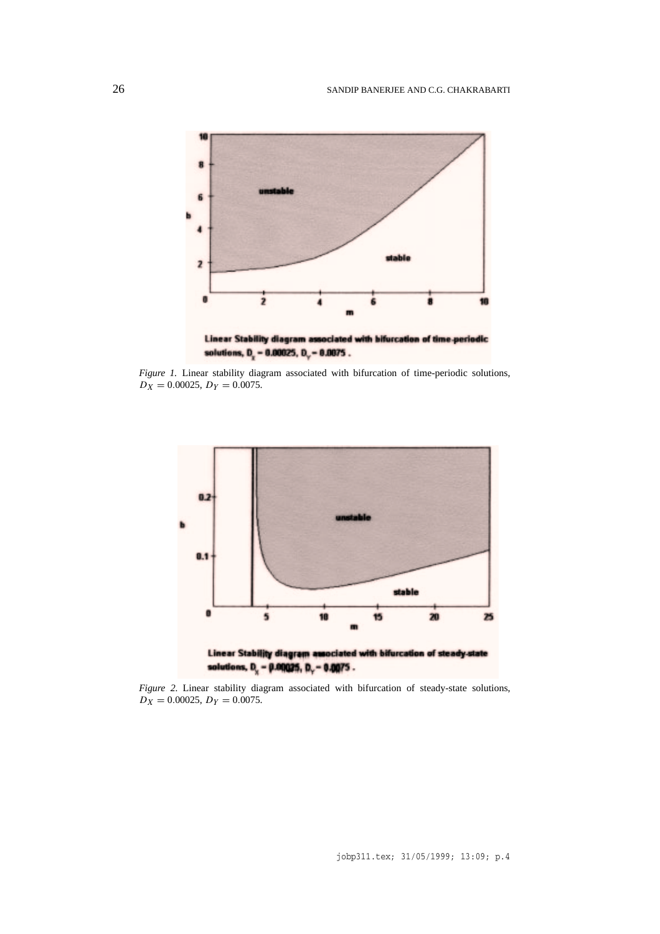

Linear Stability diagram associated with bifurcation of time-periodic solutions,  $D_r = 0.00025$ ,  $D_r = 0.0075$ .

*Figure 1.* Linear stability diagram associated with bifurcation of time-periodic solutions,  $D_X = 0.00025, D_Y = 0.0075.$ 



*Figure 2.* Linear stability diagram associated with bifurcation of steady-state solutions,  $D_X = 0.00025, D_Y = 0.0075.$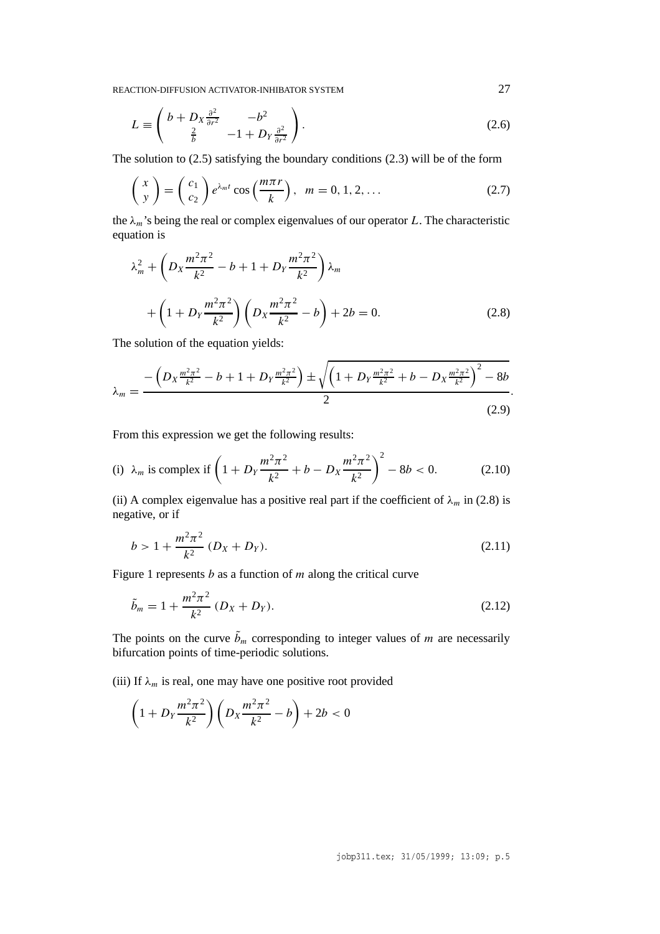$$
L \equiv \begin{pmatrix} b + D_X \frac{\partial^2}{\partial r^2} & -b^2 \\ \frac{2}{b} & -1 + D_Y \frac{\partial^2}{\partial r^2} \end{pmatrix}.
$$
 (2.6)

The solution to (2.5) satisfying the boundary conditions (2.3) will be of the form

$$
\begin{pmatrix} x \\ y \end{pmatrix} = \begin{pmatrix} c_1 \\ c_2 \end{pmatrix} e^{\lambda_m t} \cos\left(\frac{m\pi r}{k}\right), \quad m = 0, 1, 2, \dots \tag{2.7}
$$

the  $\lambda_m$ 's being the real or complex eigenvalues of our operator *L*. The characteristic equation is

$$
\lambda_m^2 + \left( D_X \frac{m^2 \pi^2}{k^2} - b + 1 + D_Y \frac{m^2 \pi^2}{k^2} \right) \lambda_m
$$
  
+ 
$$
\left( 1 + D_Y \frac{m^2 \pi^2}{k^2} \right) \left( D_X \frac{m^2 \pi^2}{k^2} - b \right) + 2b = 0.
$$
 (2.8)

The solution of the equation yields:

$$
\lambda_m = \frac{-\left(D_X \frac{m^2 \pi^2}{k^2} - b + 1 + D_Y \frac{m^2 \pi^2}{k^2}\right) \pm \sqrt{\left(1 + D_Y \frac{m^2 \pi^2}{k^2} + b - D_X \frac{m^2 \pi^2}{k^2}\right)^2 - 8b}}{2}.
$$
\n(2.9)

From this expression we get the following results:

(i) 
$$
\lambda_m
$$
 is complex if  $\left(1 + D_Y \frac{m^2 \pi^2}{k^2} + b - D_X \frac{m^2 \pi^2}{k^2}\right)^2 - 8b < 0.$  (2.10)

(ii) A complex eigenvalue has a positive real part if the coefficient of  $\lambda_m$  in (2.8) is negative, or if

$$
b > 1 + \frac{m^2 \pi^2}{k^2} (D_X + D_Y).
$$
 (2.11)

Figure 1 represents *b* as a function of *m* along the critical curve

$$
\tilde{b}_m = 1 + \frac{m^2 \pi^2}{k^2} (D_X + D_Y).
$$
\n(2.12)

The points on the curve  $b_m$  corresponding to integer values of  $m$  are necessarily bifurcation points of time-periodic solutions.

(iii) If  $\lambda_m$  is real, one may have one positive root provided

$$
\left(1 + D_Y \frac{m^2 \pi^2}{k^2}\right) \left(D_X \frac{m^2 \pi^2}{k^2} - b\right) + 2b < 0
$$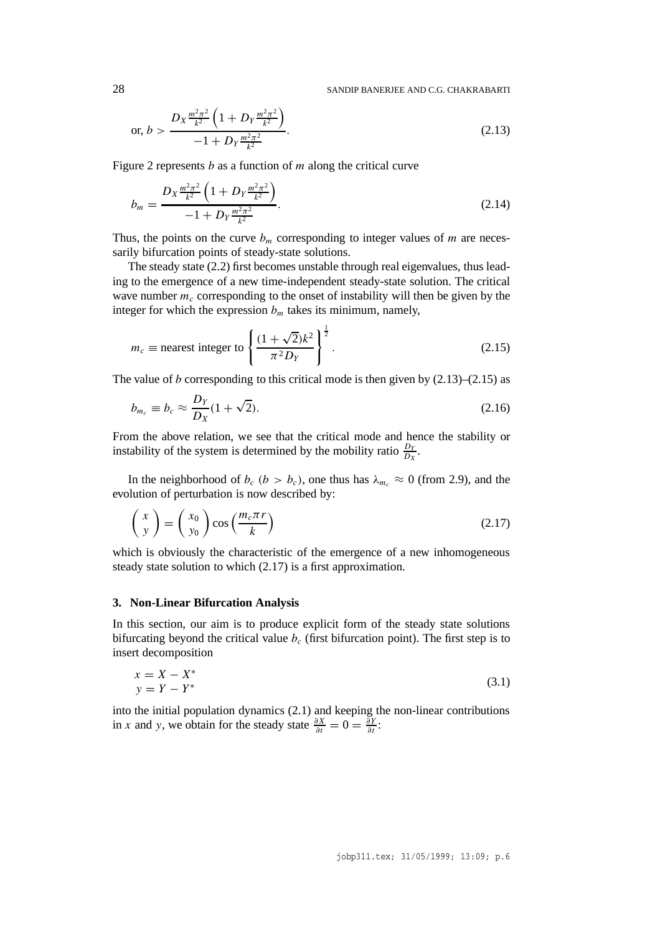28 SANDIP BANERJEE AND C.G. CHAKRABARTI

or, 
$$
b > \frac{D_X \frac{m^2 \pi^2}{k^2} \left(1 + D_Y \frac{m^2 \pi^2}{k^2}\right)}{-1 + D_Y \frac{m^2 \pi^2}{k^2}}
$$
. (2.13)

Figure 2 represents *b* as a function of *m* along the critical curve

$$
b_m = \frac{D_X \frac{m^2 \pi^2}{k^2} \left(1 + D_Y \frac{m^2 \pi^2}{k^2}\right)}{-1 + D_Y \frac{m^2 \pi^2}{k^2}}.
$$
\n(2.14)

Thus, the points on the curve  $b_m$  corresponding to integer values of *m* are necessarily bifurcation points of steady-state solutions.

The steady state (2.2) first becomes unstable through real eigenvalues, thus leading to the emergence of a new time-independent steady-state solution. The critical wave number  $m<sub>c</sub>$  corresponding to the onset of instability will then be given by the integer for which the expression  $b<sub>m</sub>$  takes its minimum, namely,

$$
m_c \equiv \text{nearest integer to } \left\{ \frac{(1+\sqrt{2})k^2}{\pi^2 D_Y} \right\}^{\frac{1}{2}}.
$$
 (2.15)

The value of *b* corresponding to this critical mode is then given by  $(2.13)$ – $(2.15)$  as

$$
b_{m_c} \equiv b_c \approx \frac{D_Y}{D_X} (1 + \sqrt{2}). \tag{2.16}
$$

From the above relation, we see that the critical mode and hence the stability or instability of the system is determined by the mobility ratio  $\frac{D_Y}{D_X}$ .

In the neighborhood of  $b_c$  ( $b > b_c$ ), one thus has  $\lambda_{m_c} \approx 0$  (from 2.9), and the evolution of perturbation is now described by:

$$
\begin{pmatrix} x \\ y \end{pmatrix} = \begin{pmatrix} x_0 \\ y_0 \end{pmatrix} \cos\left(\frac{m_c \pi r}{k}\right) \tag{2.17}
$$

which is obviously the characteristic of the emergence of a new inhomogeneous steady state solution to which (2.17) is a first approximation.

# **3. Non-Linear Bifurcation Analysis**

In this section, our aim is to produce explicit form of the steady state solutions bifurcating beyond the critical value  $b_c$  (first bifurcation point). The first step is to insert decomposition

$$
x = X - X^*
$$
  
\n
$$
y = Y - Y^*
$$
\n(3.1)

into the initial population dynamics (2.1) and keeping the non-linear contributions in *x* and *y*, we obtain for the steady state  $\frac{\partial X}{\partial t} = 0 = \frac{\partial Y}{\partial t}$ :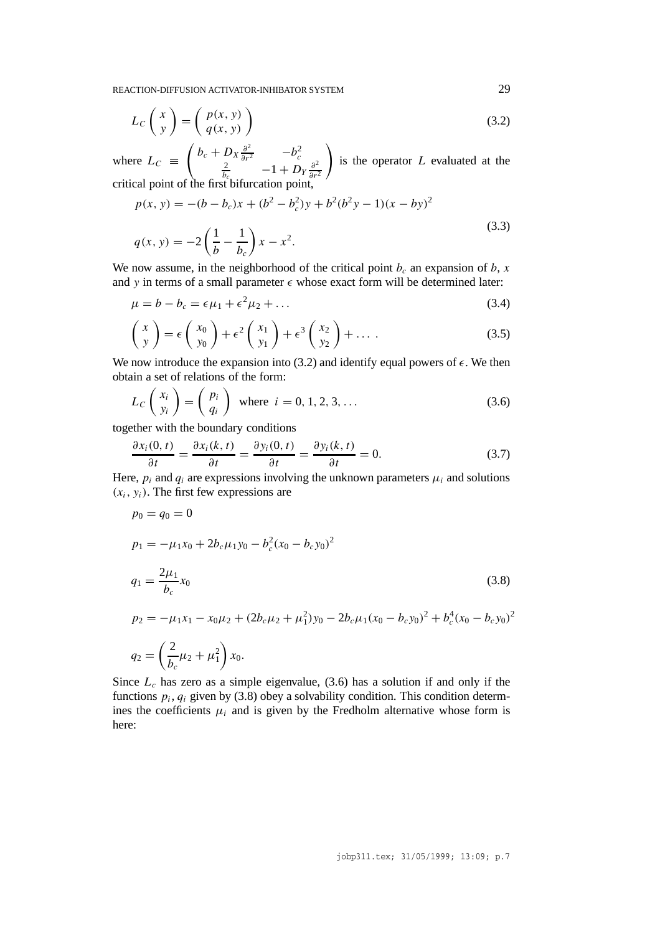$$
L_C \begin{pmatrix} x \\ y \end{pmatrix} = \begin{pmatrix} p(x, y) \\ q(x, y) \end{pmatrix}
$$
 (3.2)

where  $L_C \equiv$  $\int b_c + D_X \frac{\partial^2}{\partial r^2}$  −*b*<sub>c</sub><sup>2</sup>  $\frac{2}{bc}$  −1 + *D<sub>Y</sub>* $\frac{\partial^2}{\partial r^2}$ *∂r*<sup>2</sup> ! is the operator *L* evaluated at the critical point of the first bifurcation point,

$$
p(x, y) = -(b - b_c)x + (b^2 - b_c^2)y + b^2(b^2y - 1)(x - by)^2
$$
  
\n
$$
q(x, y) = -2\left(\frac{1}{b} - \frac{1}{b_c}\right)x - x^2.
$$
\n(3.3)

We now assume, in the neighborhood of the critical point  $b_c$  an expansion of  $b$ ,  $x$ and *y* in terms of a small parameter  $\epsilon$  whose exact form will be determined later:

$$
\mu = b - b_c = \epsilon \mu_1 + \epsilon^2 \mu_2 + \dots \tag{3.4}
$$

$$
\begin{pmatrix} x \\ y \end{pmatrix} = \epsilon \begin{pmatrix} x_0 \\ y_0 \end{pmatrix} + \epsilon^2 \begin{pmatrix} x_1 \\ y_1 \end{pmatrix} + \epsilon^3 \begin{pmatrix} x_2 \\ y_2 \end{pmatrix} + \dots
$$
 (3.5)

We now introduce the expansion into (3.2) and identify equal powers of  $\epsilon$ . We then obtain a set of relations of the form:

$$
L_C \begin{pmatrix} x_i \\ y_i \end{pmatrix} = \begin{pmatrix} p_i \\ q_i \end{pmatrix} \text{ where } i = 0, 1, 2, 3, ... \tag{3.6}
$$

together with the boundary conditions

$$
\frac{\partial x_i(0,t)}{\partial t} = \frac{\partial x_i(k,t)}{\partial t} = \frac{\partial y_i(0,t)}{\partial t} = \frac{\partial y_i(k,t)}{\partial t} = 0.
$$
 (3.7)

Here,  $p_i$  and  $q_i$  are expressions involving the unknown parameters  $\mu_i$  and solutions  $(x_i, y_i)$ . The first few expressions are

$$
p_0 = q_0 = 0
$$
  
\n
$$
p_1 = -\mu_1 x_0 + 2b_c \mu_1 y_0 - b_c^2 (x_0 - b_c y_0)^2
$$
  
\n
$$
q_1 = \frac{2\mu_1}{b_c} x_0
$$
  
\n
$$
p_2 = -\mu_1 x_1 - x_0 \mu_2 + (2b_c \mu_2 + \mu_1^2) y_0 - 2b_c \mu_1 (x_0 - b_c y_0)^2 + b_c^4 (x_0 - b_c y_0)^2
$$
  
\n
$$
q_2 = \left(\frac{2}{b_c} \mu_2 + \mu_1^2\right) x_0.
$$
\n(3.8)

Since  $L_c$  has zero as a simple eigenvalue,  $(3.6)$  has a solution if and only if the functions  $p_i$ ,  $q_i$  given by (3.8) obey a solvability condition. This condition determines the coefficients  $\mu_i$  and is given by the Fredholm alternative whose form is here: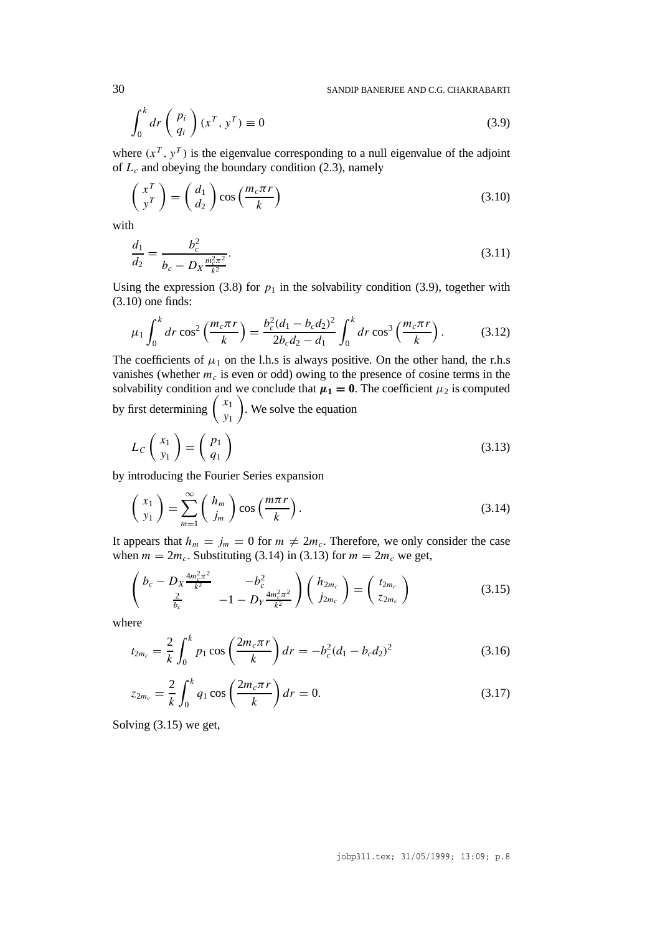30 SANDIP BANERJEE AND C.G. CHAKRABARTI

$$
\int_0^k dr \left(\begin{array}{c} p_i \\ q_i \end{array}\right) (x^T, y^T) \equiv 0 \tag{3.9}
$$

where  $(x^T, y^T)$  is the eigenvalue corresponding to a null eigenvalue of the adjoint of  $L_c$  and obeying the boundary condition (2.3), namely

$$
\begin{pmatrix} x^T \\ y^T \end{pmatrix} = \begin{pmatrix} d_1 \\ d_2 \end{pmatrix} \cos\left(\frac{m_c \pi r}{k}\right) \tag{3.10}
$$

with

$$
\frac{d_1}{d_2} = \frac{b_c^2}{b_c - D_X \frac{m_c^2 \pi^2}{k^2}}.
$$
\n(3.11)

Using the expression (3.8) for  $p_1$  in the solvability condition (3.9), together with (3.10) one finds:

$$
\mu_1 \int_0^k dr \cos^2 \left( \frac{m_c \pi r}{k} \right) = \frac{b_c^2 (d_1 - b_c d_2)^2}{2b_c d_2 - d_1} \int_0^k dr \cos^3 \left( \frac{m_c \pi r}{k} \right). \tag{3.12}
$$

The coefficients of  $\mu_1$  on the l.h.s is always positive. On the other hand, the r.h.s vanishes (whether  $m_c$  is even or odd) owing to the presence of cosine terms in the solvability condition and we conclude that  $\mu_1 = 0$ . The coefficient  $\mu_2$  is computed by first determining  $\begin{pmatrix} x_1 \\ y_1 \end{pmatrix}$  $\overline{\phantom{0}}$ . We solve the equation

$$
L_C \begin{pmatrix} x_1 \\ y_1 \end{pmatrix} = \begin{pmatrix} p_1 \\ q_1 \end{pmatrix}
$$
 (3.13)

by introducing the Fourier Series expansion

$$
\begin{pmatrix} x_1 \\ y_1 \end{pmatrix} = \sum_{m=1}^{\infty} \begin{pmatrix} h_m \\ j_m \end{pmatrix} \cos\left(\frac{m\pi r}{k}\right). \tag{3.14}
$$

It appears that  $h_m = j_m = 0$  for  $m \neq 2m_c$ . Therefore, we only consider the case when  $m = 2m_c$ . Substituting (3.14) in (3.13) for  $m = 2m_c$  we get,

$$
\begin{pmatrix} b_c - D_X \frac{4m_c^2 \pi^2}{k^2} & -b_c^2 \\ \frac{2}{b_c} & -1 - D_Y \frac{4m_c^2 \pi^2}{k^2} \end{pmatrix} \begin{pmatrix} h_{2m_c} \\ j_{2m_c} \end{pmatrix} = \begin{pmatrix} t_{2m_c} \\ z_{2m_c} \end{pmatrix}
$$
(3.15)

where

$$
t_{2m_c} = \frac{2}{k} \int_0^k p_1 \cos\left(\frac{2m_c \pi r}{k}\right) dr = -b_c^2 (d_1 - b_c d_2)^2 \tag{3.16}
$$

$$
z_{2m_c} = \frac{2}{k} \int_0^k q_1 \cos\left(\frac{2m_c \pi r}{k}\right) dr = 0.
$$
 (3.17)

Solving (3.15) we get,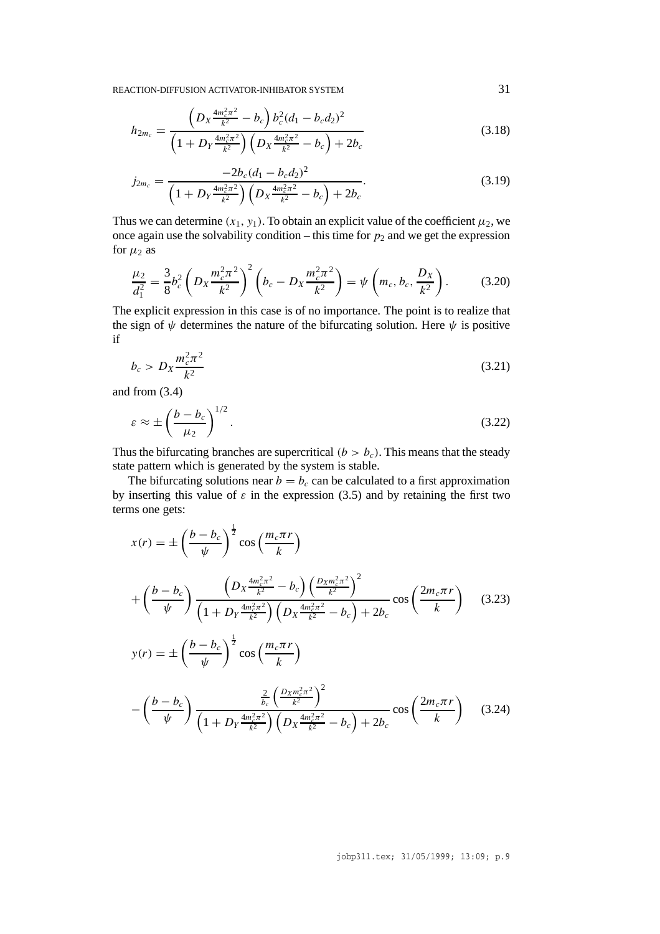$$
h_{2m_c} = \frac{\left(D_X \frac{4m_c^2 \pi^2}{k^2} - b_c\right) b_c^2 (d_1 - b_c d_2)^2}{\left(1 + D_Y \frac{4m_c^2 \pi^2}{k^2}\right) \left(D_X \frac{4m_c^2 \pi^2}{k^2} - b_c\right) + 2b_c}
$$
(3.18)

$$
j_{2m_c} = \frac{-2b_c(d_1 - b_c d_2)^2}{\left(1 + D_Y \frac{4m_c^2 \pi^2}{k^2}\right) \left(D_X \frac{4m_c^2 \pi^2}{k^2} - b_c\right) + 2b_c}.
$$
\n(3.19)

Thus we can determine  $(x_1, y_1)$ . To obtain an explicit value of the coefficient  $\mu_2$ , we once again use the solvability condition – this time for  $p_2$  and we get the expression for  $\mu_2$  as

$$
\frac{\mu_2}{d_1^2} = \frac{3}{8} b_c^2 \left( D_X \frac{m_c^2 \pi^2}{k^2} \right)^2 \left( b_c - D_X \frac{m_c^2 \pi^2}{k^2} \right) = \psi \left( m_c, b_c, \frac{D_X}{k^2} \right). \tag{3.20}
$$

The explicit expression in this case is of no importance. The point is to realize that the sign of  $\psi$  determines the nature of the bifurcating solution. Here  $\psi$  is positive if

$$
b_c > D_X \frac{m_c^2 \pi^2}{k^2}
$$
 (3.21)

and from (3.4)

$$
\varepsilon \approx \pm \left(\frac{b - b_c}{\mu_2}\right)^{1/2}.\tag{3.22}
$$

Thus the bifurcating branches are supercritical  $(b > b<sub>c</sub>)$ . This means that the steady state pattern which is generated by the system is stable.

The bifurcating solutions near  $b = b_c$  can be calculated to a first approximation by inserting this value of  $\varepsilon$  in the expression (3.5) and by retaining the first two terms one gets:

$$
x(r) = \pm \left(\frac{b - b_c}{\psi}\right)^{\frac{1}{2}} \cos\left(\frac{m_c \pi r}{k}\right)
$$
  
+ 
$$
\left(\frac{b - b_c}{\psi}\right) \frac{\left(D_X \frac{4m_c^2 \pi^2}{k^2} - b_c\right) \left(\frac{D_X m_c^2 \pi^2}{k^2}\right)^2}{\left(1 + D_Y \frac{4m_c^2 \pi^2}{k^2}\right) \left(D_X \frac{4m_c^2 \pi^2}{k^2} - b_c\right) + 2b_c} \cos\left(\frac{2m_c \pi r}{k}\right) \quad (3.23)
$$
  

$$
y(r) = \pm \left(\frac{b - b_c}{\psi}\right)^{\frac{1}{2}} \cos\left(\frac{m_c \pi r}{k}\right)
$$

$$
-\left(\frac{b - b_c}{\psi}\right) \frac{\frac{2}{b_c} \left(\frac{D_X m_c^2 \pi^2}{k^2}\right)^2}{\left(1 + D_Y \frac{4m_c^2 \pi^2}{k^2}\right) \left(D_X \frac{4m_c^2 \pi^2}{k^2} - b_c\right) + 2b_c} \cos\left(\frac{2m_c \pi r}{k}\right) \quad (3.24)
$$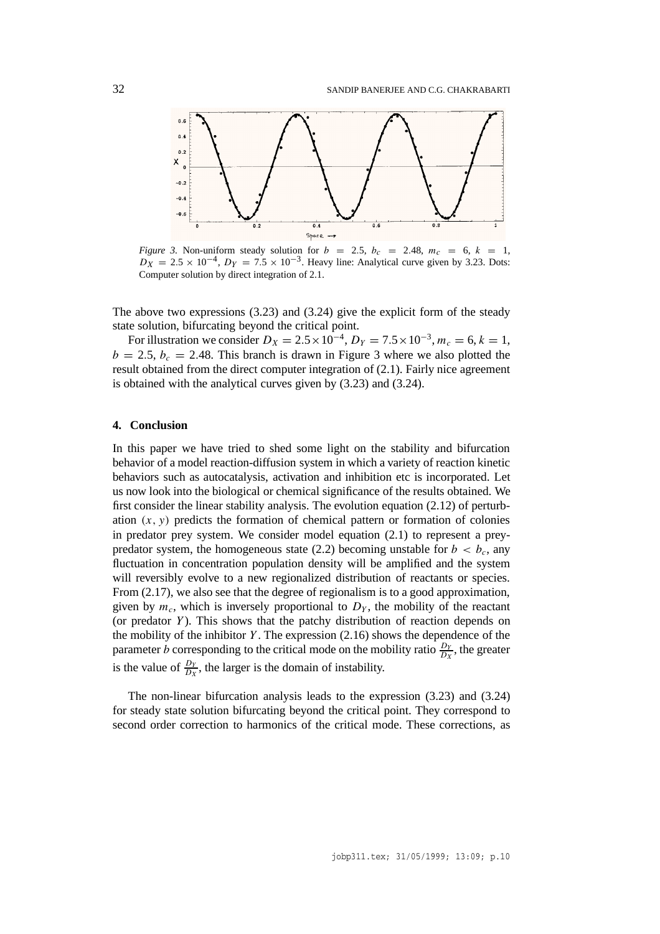

*Figure 3.* Non-uniform steady solution for  $b = 2.5$ ,  $b_c = 2.48$ ,  $m_c = 6$ ,  $k = 1$ ,  $D_X = 2.5 \times 10^{-4}$ ,  $D_Y = 7.5 \times 10^{-3}$ . Heavy line: Analytical curve given by 3.23. Dots: Computer solution by direct integration of 2.1.

The above two expressions (3.23) and (3.24) give the explicit form of the steady state solution, bifurcating beyond the critical point.

For illustration we consider  $D_X = 2.5 \times 10^{-4}$ ,  $D_Y = 7.5 \times 10^{-3}$ ,  $m_c = 6$ ,  $k = 1$ ,  $b = 2.5$ ,  $b_c = 2.48$ . This branch is drawn in Figure 3 where we also plotted the result obtained from the direct computer integration of (2.1). Fairly nice agreement is obtained with the analytical curves given by (3.23) and (3.24).

#### **4. Conclusion**

In this paper we have tried to shed some light on the stability and bifurcation behavior of a model reaction-diffusion system in which a variety of reaction kinetic behaviors such as autocatalysis, activation and inhibition etc is incorporated. Let us now look into the biological or chemical significance of the results obtained. We first consider the linear stability analysis. The evolution equation (2.12) of perturbation  $(x, y)$  predicts the formation of chemical pattern or formation of colonies in predator prey system. We consider model equation (2.1) to represent a preypredator system, the homogeneous state (2.2) becoming unstable for  $b < b_c$ , any fluctuation in concentration population density will be amplified and the system will reversibly evolve to a new regionalized distribution of reactants or species. From  $(2.17)$ , we also see that the degree of regionalism is to a good approximation, given by  $m_c$ , which is inversely proportional to  $D<sub>Y</sub>$ , the mobility of the reactant (or predator *Y* ). This shows that the patchy distribution of reaction depends on the mobility of the inhibitor *Y* . The expression (2.16) shows the dependence of the parameter *b* corresponding to the critical mode on the mobility ratio  $\frac{D_y}{D_x}$ , the greater is the value of  $\frac{D_y}{D_x}$ , the larger is the domain of instability.

The non-linear bifurcation analysis leads to the expression (3.23) and (3.24) for steady state solution bifurcating beyond the critical point. They correspond to second order correction to harmonics of the critical mode. These corrections, as